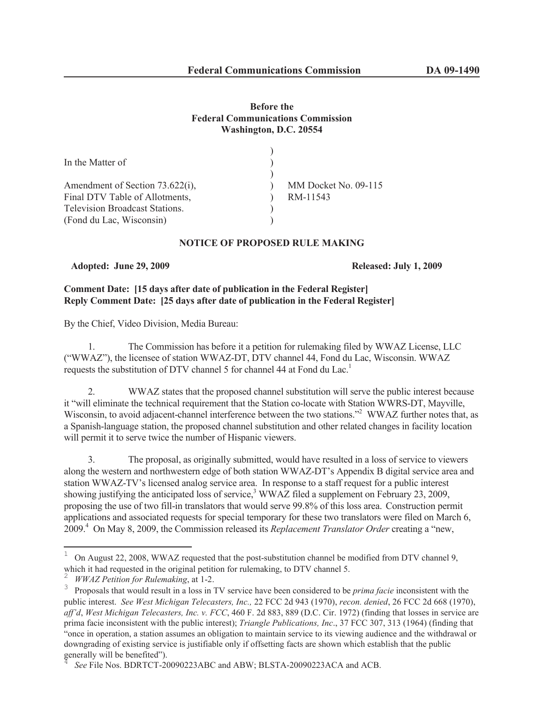# **Before the Federal Communications Commission Washington, D.C. 20554**

| In the Matter of                      |                      |
|---------------------------------------|----------------------|
|                                       |                      |
| Amendment of Section 73.622(i),       | MM Docket No. 09-115 |
| Final DTV Table of Allotments,        | RM-11543             |
| <b>Television Broadcast Stations.</b> |                      |
| (Fond du Lac, Wisconsin)              |                      |
|                                       |                      |

## **NOTICE OF PROPOSED RULE MAKING**

**Adopted: June 29, 2009 Released: July 1, 2009**

# **Comment Date: [15 days after date of publication in the Federal Register] Reply Comment Date: [25 days after date of publication in the Federal Register]**

By the Chief, Video Division, Media Bureau:

1. The Commission has before it a petition for rulemaking filed by WWAZ License, LLC ("WWAZ"), the licensee of station WWAZ-DT, DTV channel 44, Fond du Lac, Wisconsin. WWAZ requests the substitution of DTV channel 5 for channel 44 at Fond du Lac.<sup>1</sup>

2. WWAZ states that the proposed channel substitution will serve the public interest because it "will eliminate the technical requirement that the Station co-locate with Station WWRS-DT, Mayville, Wisconsin, to avoid adjacent-channel interference between the two stations."<sup>2</sup> WWAZ further notes that, as a Spanish-language station, the proposed channel substitution and other related changes in facility location will permit it to serve twice the number of Hispanic viewers.

3. The proposal, as originally submitted, would have resulted in a loss of service to viewers along the western and northwestern edge of both station WWAZ-DT's Appendix B digital service area and station WWAZ-TV's licensed analog service area. In response to a staff request for a public interest showing justifying the anticipated loss of service,<sup>3</sup> WWAZ filed a supplement on February 23, 2009, proposing the use of two fill-in translators that would serve 99.8% of this loss area. Construction permit applications and associated requests for special temporary for these two translators were filed on March 6, 2009.<sup>4</sup> On May 8, 2009, the Commission released its *Replacement Translator Order* creating a "new,

<sup>1</sup> On August 22, 2008, WWAZ requested that the post-substitution channel be modified from DTV channel 9, which it had requested in the original petition for rulemaking, to DTV channel 5.

<sup>2</sup> *WWAZ Petition for Rulemaking*, at 1-2.

<sup>3</sup> Proposals that would result in a loss in TV service have been considered to be *prima facie* inconsistent with the public interest. *See West Michigan Telecasters, Inc.,* 22 FCC 2d 943 (1970), *recon. denied*, 26 FCC 2d 668 (1970), *aff'd*, *West Michigan Telecasters, Inc. v. FCC*, 460 F. 2d 883, 889 (D.C. Cir. 1972) (finding that losses in service are prima facie inconsistent with the public interest); *Triangle Publications, Inc*., 37 FCC 307, 313 (1964) (finding that "once in operation, a station assumes an obligation to maintain service to its viewing audience and the withdrawal or downgrading of existing service is justifiable only if offsetting facts are shown which establish that the public generally will be benefited").

*See* File Nos. BDRTCT-20090223ABC and ABW; BLSTA-20090223ACA and ACB.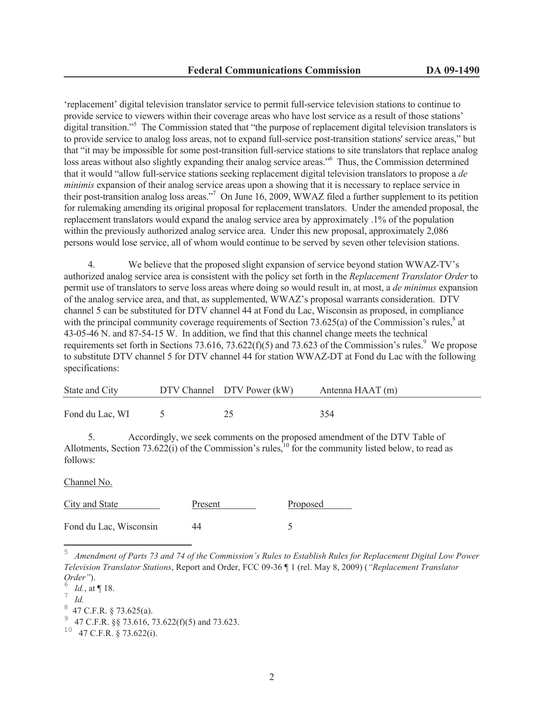'replacement' digital television translator service to permit full-service television stations to continue to provide service to viewers within their coverage areas who have lost service as a result of those stations' digital transition."<sup>5</sup> The Commission stated that "the purpose of replacement digital television translators is to provide service to analog loss areas, not to expand full-service post-transition stations' service areas," but that "it may be impossible for some post-transition full-service stations to site translators that replace analog loss areas without also slightly expanding their analog service areas."<sup>6</sup> Thus, the Commission determined that it would "allow full-service stations seeking replacement digital television translators to propose a *de minimis* expansion of their analog service areas upon a showing that it is necessary to replace service in their post-transition analog loss areas."<sup>7</sup> On June 16, 2009, WWAZ filed a further supplement to its petition for rulemaking amending its original proposal for replacement translators. Under the amended proposal, the replacement translators would expand the analog service area by approximately .1% of the population within the previously authorized analog service area. Under this new proposal, approximately 2,086 persons would lose service, all of whom would continue to be served by seven other television stations.

4. We believe that the proposed slight expansion of service beyond station WWAZ-TV's authorized analog service area is consistent with the policy set forth in the *Replacement Translator Order* to permit use of translators to serve loss areas where doing so would result in, at most, a *de minimus* expansion of the analog service area, and that, as supplemented, WWAZ's proposal warrants consideration. DTV channel 5 can be substituted for DTV channel 44 at Fond du Lac, Wisconsin as proposed, in compliance with the principal community coverage requirements of Section 73.625(a) of the Commission's rules, $8$  at 43-05-46 N. and 87-54-15 W. In addition, we find that this channel change meets the technical requirements set forth in Sections 73.616, 73.622(f)(5) and 73.623 of the Commission's rules.<sup>9</sup> We propose to substitute DTV channel 5 for DTV channel 44 for station WWAZ-DT at Fond du Lac with the following specifications:

| State and City  | DTV Channel DTV Power (kW) | Antenna HAAT (m) |
|-----------------|----------------------------|------------------|
| Fond du Lac, WI |                            | 354              |

5. Accordingly, we seek comments on the proposed amendment of the DTV Table of Allotments, Section  $73.622(i)$  of the Commission's rules,<sup>10</sup> for the community listed below, to read as follows:

Channel No.

| City and State         | Present | Proposed |
|------------------------|---------|----------|
| Fond du Lac, Wisconsin | 44      |          |

<sup>5</sup> *Amendment of Parts 73 and 74 of the Commission's Rules to Establish Rules for Replacement Digital Low Power Television Translator Stations*, Report and Order, FCC 09-36 ¶ 1 (rel. May 8, 2009) (*"Replacement Translator Order"*).

<sup>6</sup> *Id.*, at ¶ 18.

<sup>7</sup> *Id.*

<sup>8</sup> 47 C.F.R. § 73.625(a).

<sup>9</sup> 47 C.F.R. §§ 73.616, 73.622(f)(5) and 73.623.

 $10$  47 C.F.R. § 73.622(i).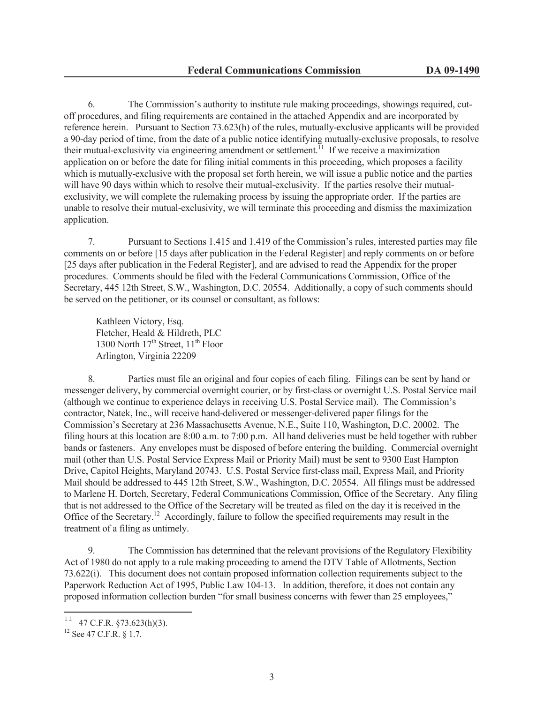6. The Commission's authority to institute rule making proceedings, showings required, cutoff procedures, and filing requirements are contained in the attached Appendix and are incorporated by reference herein. Pursuant to Section 73.623(h) of the rules, mutually-exclusive applicants will be provided a 90-day period of time, from the date of a public notice identifying mutually-exclusive proposals, to resolve their mutual-exclusivity via engineering amendment or settlement.<sup>11</sup> If we receive a maximization application on or before the date for filing initial comments in this proceeding, which proposes a facility which is mutually-exclusive with the proposal set forth herein, we will issue a public notice and the parties will have 90 days within which to resolve their mutual-exclusivity. If the parties resolve their mutualexclusivity, we will complete the rulemaking process by issuing the appropriate order. If the parties are unable to resolve their mutual-exclusivity, we will terminate this proceeding and dismiss the maximization application.

7. Pursuant to Sections 1.415 and 1.419 of the Commission's rules, interested parties may file comments on or before [15 days after publication in the Federal Register] and reply comments on or before [25 days after publication in the Federal Register], and are advised to read the Appendix for the proper procedures. Comments should be filed with the Federal Communications Commission, Office of the Secretary, 445 12th Street, S.W., Washington, D.C. 20554. Additionally, a copy of such comments should be served on the petitioner, or its counsel or consultant, as follows:

Kathleen Victory, Esq. Fletcher, Heald & Hildreth, PLC 1300 North  $17<sup>th</sup>$  Street,  $11<sup>th</sup>$  Floor Arlington, Virginia 22209

8. Parties must file an original and four copies of each filing. Filings can be sent by hand or messenger delivery, by commercial overnight courier, or by first-class or overnight U.S. Postal Service mail (although we continue to experience delays in receiving U.S. Postal Service mail). The Commission's contractor, Natek, Inc., will receive hand-delivered or messenger-delivered paper filings for the Commission's Secretary at 236 Massachusetts Avenue, N.E., Suite 110, Washington, D.C. 20002. The filing hours at this location are 8:00 a.m. to 7:00 p.m. All hand deliveries must be held together with rubber bands or fasteners. Any envelopes must be disposed of before entering the building. Commercial overnight mail (other than U.S. Postal Service Express Mail or Priority Mail) must be sent to 9300 East Hampton Drive, Capitol Heights, Maryland 20743. U.S. Postal Service first-class mail, Express Mail, and Priority Mail should be addressed to 445 12th Street, S.W., Washington, D.C. 20554. All filings must be addressed to Marlene H. Dortch, Secretary, Federal Communications Commission, Office of the Secretary. Any filing that is not addressed to the Office of the Secretary will be treated as filed on the day it is received in the Office of the Secretary.<sup>12</sup> Accordingly, failure to follow the specified requirements may result in the treatment of a filing as untimely.

9. The Commission has determined that the relevant provisions of the Regulatory Flexibility Act of 1980 do not apply to a rule making proceeding to amend the DTV Table of Allotments, Section 73.622(i). This document does not contain proposed information collection requirements subject to the Paperwork Reduction Act of 1995, Public Law 104-13. In addition, therefore, it does not contain any proposed information collection burden "for small business concerns with fewer than 25 employees,"

<sup>&</sup>lt;sup>11</sup> 47 C.F.R. §73.623(h)(3).

<sup>12</sup> See 47 C.F.R. § 1.7.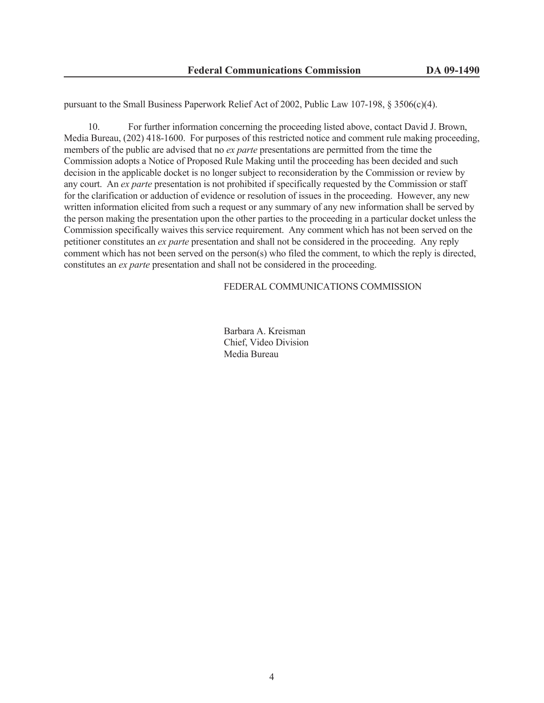pursuant to the Small Business Paperwork Relief Act of 2002, Public Law 107-198, § 3506(c)(4).

10. For further information concerning the proceeding listed above, contact David J. Brown, Media Bureau, (202) 418-1600. For purposes of this restricted notice and comment rule making proceeding, members of the public are advised that no *ex parte* presentations are permitted from the time the Commission adopts a Notice of Proposed Rule Making until the proceeding has been decided and such decision in the applicable docket is no longer subject to reconsideration by the Commission or review by any court. An *ex parte* presentation is not prohibited if specifically requested by the Commission or staff for the clarification or adduction of evidence or resolution of issues in the proceeding. However, any new written information elicited from such a request or any summary of any new information shall be served by the person making the presentation upon the other parties to the proceeding in a particular docket unless the Commission specifically waives this service requirement. Any comment which has not been served on the petitioner constitutes an *ex parte* presentation and shall not be considered in the proceeding. Any reply comment which has not been served on the person(s) who filed the comment, to which the reply is directed, constitutes an *ex parte* presentation and shall not be considered in the proceeding.

#### FEDERAL COMMUNICATIONS COMMISSION

Barbara A. Kreisman Chief, Video Division Media Bureau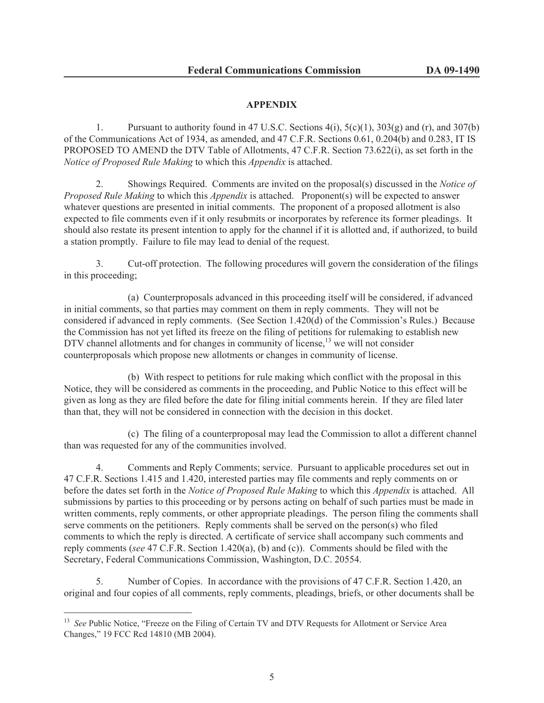## **APPENDIX**

1. Pursuant to authority found in 47 U.S.C. Sections  $4(i)$ ,  $5(c)(1)$ ,  $303(g)$  and  $(r)$ , and  $307(b)$ of the Communications Act of 1934, as amended, and 47 C.F.R. Sections 0.61, 0.204(b) and 0.283, IT IS PROPOSED TO AMEND the DTV Table of Allotments, 47 C.F.R. Section 73.622(i), as set forth in the *Notice of Proposed Rule Making* to which this *Appendix* is attached.

2. Showings Required. Comments are invited on the proposal(s) discussed in the *Notice of Proposed Rule Making* to which this *Appendix* is attached. Proponent(s) will be expected to answer whatever questions are presented in initial comments. The proponent of a proposed allotment is also expected to file comments even if it only resubmits or incorporates by reference its former pleadings. It should also restate its present intention to apply for the channel if it is allotted and, if authorized, to build a station promptly. Failure to file may lead to denial of the request.

3. Cut-off protection. The following procedures will govern the consideration of the filings in this proceeding;

(a) Counterproposals advanced in this proceeding itself will be considered, if advanced in initial comments, so that parties may comment on them in reply comments. They will not be considered if advanced in reply comments. (See Section 1.420(d) of the Commission's Rules.) Because the Commission has not yet lifted its freeze on the filing of petitions for rulemaking to establish new DTV channel allotments and for changes in community of license, $13$  we will not consider counterproposals which propose new allotments or changes in community of license.

(b) With respect to petitions for rule making which conflict with the proposal in this Notice, they will be considered as comments in the proceeding, and Public Notice to this effect will be given as long as they are filed before the date for filing initial comments herein. If they are filed later than that, they will not be considered in connection with the decision in this docket.

(c) The filing of a counterproposal may lead the Commission to allot a different channel than was requested for any of the communities involved.

4. Comments and Reply Comments; service. Pursuant to applicable procedures set out in 47 C.F.R. Sections 1.415 and 1.420, interested parties may file comments and reply comments on or before the dates set forth in the *Notice of Proposed Rule Making* to which this *Appendix* is attached. All submissions by parties to this proceeding or by persons acting on behalf of such parties must be made in written comments, reply comments, or other appropriate pleadings. The person filing the comments shall serve comments on the petitioners. Reply comments shall be served on the person(s) who filed comments to which the reply is directed. A certificate of service shall accompany such comments and reply comments (*see* 47 C.F.R. Section 1.420(a), (b) and (c)). Comments should be filed with the Secretary, Federal Communications Commission, Washington, D.C. 20554.

5. Number of Copies. In accordance with the provisions of 47 C.F.R. Section 1.420, an original and four copies of all comments, reply comments, pleadings, briefs, or other documents shall be

<sup>&</sup>lt;sup>13</sup> *See* Public Notice, "Freeze on the Filing of Certain TV and DTV Requests for Allotment or Service Area Changes," 19 FCC Rcd 14810 (MB 2004).